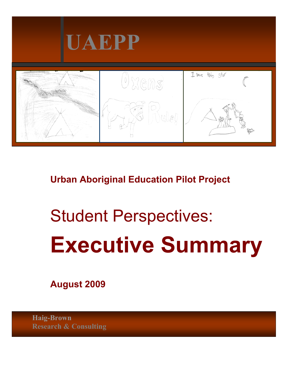

 **Urban Aboriginal Education Pilot Project** 

# Student Perspectives: **Executive Summary**

 **August 2009** 

**Haig-Brown Research & Consulting**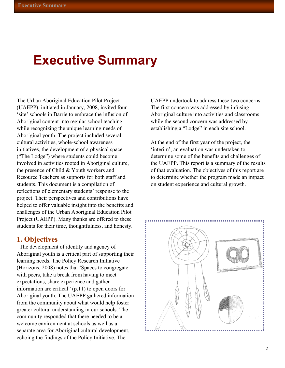## **Executive Summary**

The Urban Aboriginal Education Pilot Project (UAEPP), initiated in January, 2008, invited four 'site' schools in Barrie to embrace the infusion of Aboriginal content into regular school teaching while recognizing the unique learning needs of Aboriginal youth. The project included several cultural activities, whole-school awareness initiatives, the development of a physical space ("The Lodge") where students could become involved in activities rooted in Aboriginal culture, the presence of Child & Youth workers and Resource Teachers as supports for both staff and students. This document is a compilation of reflections of elementary students' response to the project. Their perspectives and contributions have helped to offer valuable insight into the benefits and challenges of the Urban Aboriginal Education Pilot Project (UAEPP). Many thanks are offered to these students for their time, thoughtfulness, and honesty.

#### **1. Objectives**

 The development of identity and agency of Aboriginal youth is a critical part of supporting their learning needs. The Policy Research Initiative (Horizons, 2008) notes that 'Spaces to congregate with peers, take a break from having to meet expectations, share experience and gather information are critical" (p.11) to open doors for Aboriginal youth. The UAEPP gathered information from the community about what would help foster greater cultural understanding in our schools. The community responded that there needed to be a welcome environment at schools as well as a separate area for Aboriginal cultural development, echoing the findings of the Policy Initiative. The

UAEPP undertook to address these two concerns. The first concern was addressed by infusing Aboriginal culture into activities and classrooms while the second concern was addressed by establishing a "Lodge" in each site school.

At the end of the first year of the project, the 'interim', an evaluation was undertaken to determine some of the benefits and challenges of the UAEPP. This report is a summary of the results of that evaluation. The objectives of this report are to determine whether the program made an impact on student experience and cultural growth.

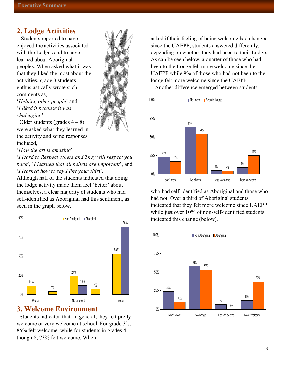#### **2. Lodge Activities**

 Students reported to have enjoyed the activities associated with the Lodges and to have learned about Aboriginal peoples. When asked what it was that they liked the most about the activities, grade 3 students enthusiastically wrote such comments as,

'*Helping other people*' and '*I liked it becouse it was chalenging*'.

Older students (grades  $4 - 8$ ) were asked what they learned in the activity and some responses included,

'*How the art is amazing*'

'*I leard to Respect others and They will respect you back*', '*I learned that all beliefs are important*', and '*I learned how to say I like your shirt*'.

self-identified as Aboriginal had this sentiment, as Although half of the students indicated that doing the lodge activity made them feel 'better' about themselves, a clear majority of students who had seen in the graph below.



#### **3. Welcome Environment**

welcome or very welcome at school. For grade 3's, 85% felt welcome, while for students in grades 4 though 8, 73% felt welcome. When Students indicated that, in general, they felt pretty

asked if their feeling of being welcome had changed depending on whether they had been to their Lodge. As can be seen below, a quarter of those who had UAEPP while 9% of those who had not been to the since the UAEPP, students answered differently, been to the Lodge felt more welcome since the lodge felt more welcome since the UAEPP.

Another difference emerged between students



who had self-identified as Aboriginal and those who while just over 10% of non-self-identified students indicated this change (below). had not. Over a third of Aboriginal students indicated that they felt more welcome since UAEPP

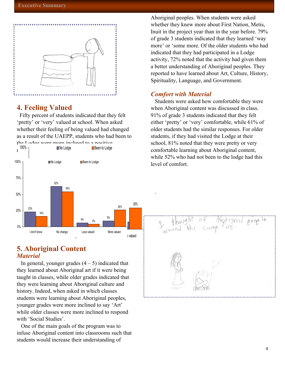

#### **4. Feeling Valued**

 Fifty percent of students indicated that they felt 'pretty' or 'very' valued at school. When asked whether their feeling of being valued had changed as a result of the UAEPP, students who had been to



#### **5. Aboriginal Content**  *Material*

In general, younger grades  $(4 - 5)$  indicated that they learned about Aboriginal art if it were being taught in classes, while older grades indicated that they were learning about Aboriginal culture and history. Indeed, when asked in which classes students were learning about Aboriginal peoples, younger grades were more inclined to say 'Art' while older classes were more inclined to respond with 'Social Studies'.

 One of the main goals of the program was to infuse Aboriginal content into classrooms such that students would increase their understanding of

Aboriginal peoples. When students were asked whether they knew more about First Nation, Metis, Inuit in the project year than in the year before. 79% of grade 3 students indicated that they learned 'way more' or 'some more. Of the older students who had indicated that they had participated in a Lodge activity, 72% noted that the activity had given them a better understanding of Aboriginal peoples. They reported to have learned about Art, Culture, History, Spirituality, Language, and Government.

#### *Comfort with Material*

.

 Students were asked how comfortable they were when Aboriginal content was discussed in class. 91% of grade 3 students indicated that they felt either 'pretty' or 'very' comfortable, while 61% of older students had the similar responses. For older students, if they had visited the Lodge at their school, 81% noted that they were pretty or very comfortable learning about Aboriginal content, while 52% who had not been to the lodge had this level of comfort.